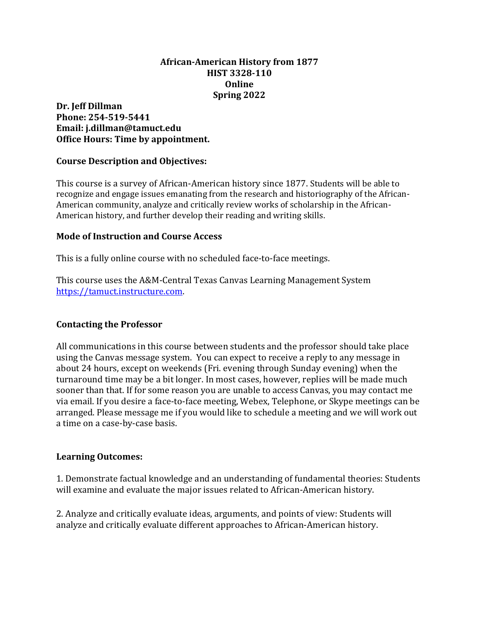#### **African-American History from 1877 HIST 3328-110 Online Spring 2022**

**Dr. Jeff Dillman Phone: 254-519-5441 Email: j.dillman@tamuct.edu Office Hours: Time by appointment.**

#### **Course Description and Objectives:**

This course is a survey of African-American history since 1877. Students will be able to recognize and engage issues emanating from the research and historiography of the African-American community, analyze and critically review works of scholarship in the African-American history, and further develop their reading and writing skills.

#### **Mode of Instruction and Course Access**

This is a fully online course with no scheduled face-to-face meetings.

This course uses the A&M-Central Texas Canvas Learning Management System [https://tamuct.instructure.com.](https://tamuct.instructure.com/)

#### **Contacting the Professor**

All communications in this course between students and the professor should take place using the Canvas message system. You can expect to receive a reply to any message in about 24 hours, except on weekends (Fri. evening through Sunday evening) when the turnaround time may be a bit longer. In most cases, however, replies will be made much sooner than that. If for some reason you are unable to access Canvas, you may contact me via email. If you desire a face-to-face meeting, Webex, Telephone, or Skype meetings can be arranged. Please message me if you would like to schedule a meeting and we will work out a time on a case-by-case basis.

#### **Learning Outcomes:**

1. Demonstrate factual knowledge and an understanding of fundamental theories: Students will examine and evaluate the major issues related to African-American history.

2. Analyze and critically evaluate ideas, arguments, and points of view: Students will analyze and critically evaluate different approaches to African-American history.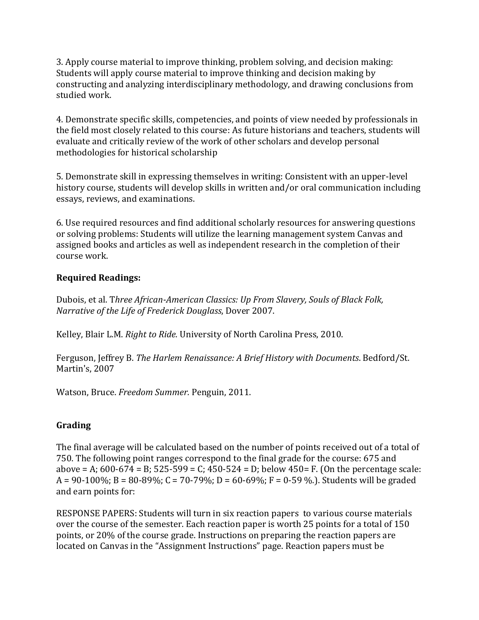3. Apply course material to improve thinking, problem solving, and decision making: Students will apply course material to improve thinking and decision making by constructing and analyzing interdisciplinary methodology, and drawing conclusions from studied work.

4. Demonstrate specific skills, competencies, and points of view needed by professionals in the field most closely related to this course: As future historians and teachers, students will evaluate and critically review of the work of other scholars and develop personal methodologies for historical scholarship

5. Demonstrate skill in expressing themselves in writing: Consistent with an upper-level history course, students will develop skills in written and/or oral communication including essays, reviews, and examinations.

6. Use required resources and find additional scholarly resources for answering questions or solving problems: Students will utilize the learning management system Canvas and assigned books and articles as well as independent research in the completion of their course work.

# **Required Readings:**

Dubois, et al. T*hree African-American Classics: Up From Slavery, Souls of Black Folk, Narrative of the Life of Frederick Douglass*, Dover 2007.

Kelley, Blair L.M. *Right to Ride.* University of North Carolina Press, 2010.

Ferguson, Jeffrey B. *The Harlem Renaissance: A Brief History with Documents*. Bedford/St. Martin's, 2007

Watson, Bruce. *Freedom Summer.* Penguin, 2011.

# **Grading**

The final average will be calculated based on the number of points received out of a total of 750. The following point ranges correspond to the final grade for the course: 675 and above = A;  $600-674 = B$ ;  $525-599 = C$ ;  $450-524 = D$ ; below  $450=$  F. (On the percentage scale:  $A = 90-100\%$ ; B = 80-89%; C = 70-79%; D = 60-69%; F = 0-59 %.). Students will be graded and earn points for:

RESPONSE PAPERS: Students will turn in six reaction papers to various course materials over the course of the semester. Each reaction paper is worth 25 points for a total of 150 points, or 20% of the course grade. Instructions on preparing the reaction papers are located on Canvas in the "Assignment Instructions" page. Reaction papers must be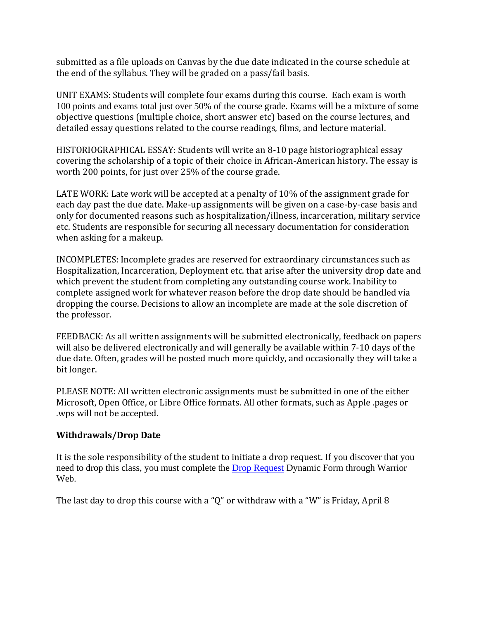submitted as a file uploads on Canvas by the due date indicated in the course schedule at the end of the syllabus. They will be graded on a pass/fail basis.

UNIT EXAMS: Students will complete four exams during this course. Each exam is worth 100 points and exams total just over 50% of the course grade. Exams will be a mixture of some objective questions (multiple choice, short answer etc) based on the course lectures, and detailed essay questions related to the course readings, films, and lecture material.

HISTORIOGRAPHICAL ESSAY: Students will write an 8-10 page historiographical essay covering the scholarship of a topic of their choice in African-American history. The essay is worth 200 points, for just over 25% of the course grade.

LATE WORK: Late work will be accepted at a penalty of 10% of the assignment grade for each day past the due date. Make-up assignments will be given on a case-by-case basis and only for documented reasons such as hospitalization/illness, incarceration, military service etc. Students are responsible for securing all necessary documentation for consideration when asking for a makeup.

INCOMPLETES: Incomplete grades are reserved for extraordinary circumstances such as Hospitalization, Incarceration, Deployment etc. that arise after the university drop date and which prevent the student from completing any outstanding course work. Inability to complete assigned work for whatever reason before the drop date should be handled via dropping the course. Decisions to allow an incomplete are made at the sole discretion of the professor.

FEEDBACK: As all written assignments will be submitted electronically, feedback on papers will also be delivered electronically and will generally be available within 7-10 days of the due date. Often, grades will be posted much more quickly, and occasionally they will take a bit longer.

PLEASE NOTE: All written electronic assignments must be submitted in one of the either Microsoft, Open Office, or Libre Office formats. All other formats, such as Apple .pages or .wps will not be accepted.

# **Withdrawals/Drop Date**

It is the sole responsibility of the student to initiate a drop request. If you discover that you need to drop this class, you must complete the [Drop Request](https://dynamicforms.ngwebsolutions.com/casAuthentication.ashx?InstID=eaed95b9-f2be-45f3-a37d-46928168bc10&targetUrl=https%3A%2F%2Fdynamicforms.ngwebsolutions.com%2FSubmit%2FForm%2FStart%2F53b8369e-0502-4f36-be43-f02a4202f612) Dynamic Form through Warrior Web.

The last day to drop this course with a "Q" or withdraw with a "W" is Friday, April 8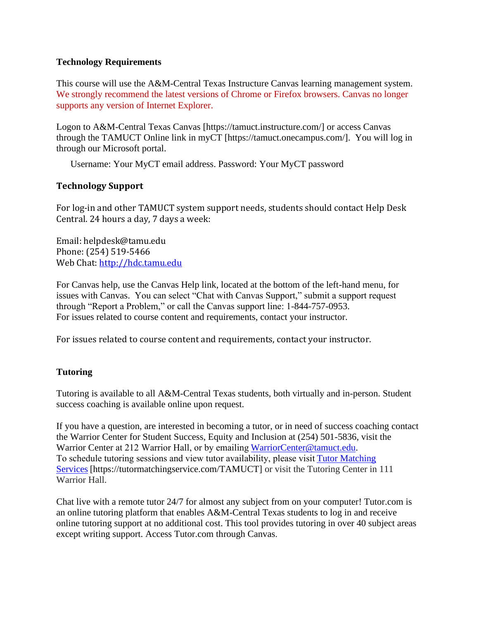#### **Technology Requirements**

This course will use the A&M-Central Texas Instructure Canvas learning management system. We strongly recommend the latest versions of Chrome or Firefox browsers. Canvas no longer supports any version of Internet Explorer.

Logon to A&M-Central Texas Canvas [https://tamuct.instructure.com/] or access Canvas through the TAMUCT Online link in myCT [https://tamuct.onecampus.com/]. You will log in through our Microsoft portal.

Username: Your MyCT email address. Password: Your MyCT password

#### **Technology Support**

For log-in and other TAMUCT system support needs, students should contact Help Desk Central. 24 hours a day, 7 days a week:

Email: helpdesk@tamu.edu Phone: (254) 519-5466 Web Chat: [http://hdc.tamu.edu](http://hdc.tamu.edu/)

For Canvas help, use the Canvas Help link, located at the bottom of the left-hand menu, for issues with Canvas. You can select "Chat with Canvas Support," submit a support request through "Report a Problem," or call the Canvas support line: 1-844-757-0953. For issues related to course content and requirements, contact your instructor.

For issues related to course content and requirements, contact your instructor.

#### **Tutoring**

Tutoring is available to all A&M-Central Texas students, both virtually and in-person. Student success coaching is available online upon request.

If you have a question, are interested in becoming a tutor, or in need of success coaching contact the Warrior Center for Student Success, Equity and Inclusion at (254) 501-5836, visit the Warrior Center at 212 Warrior Hall, or by emailin[g WarriorCenter@tamuct.edu.](mailto:WarriorCenter@tamuct.edu) To schedule tutoring sessions and view tutor availability, please visit[Tutor Matching](https://tutormatchingservice.com/TAMUCT)  [Services](https://tutormatchingservice.com/TAMUCT) [https://tutormatchingservice.com/TAMUCT] or visit the Tutoring Center in 111 Warrior Hall.

Chat live with a remote tutor 24/7 for almost any subject from on your computer! Tutor.com is an online tutoring platform that enables A&M-Central Texas students to log in and receive online tutoring support at no additional cost. This tool provides tutoring in over 40 subject areas except writing support. Access Tutor.com through Canvas.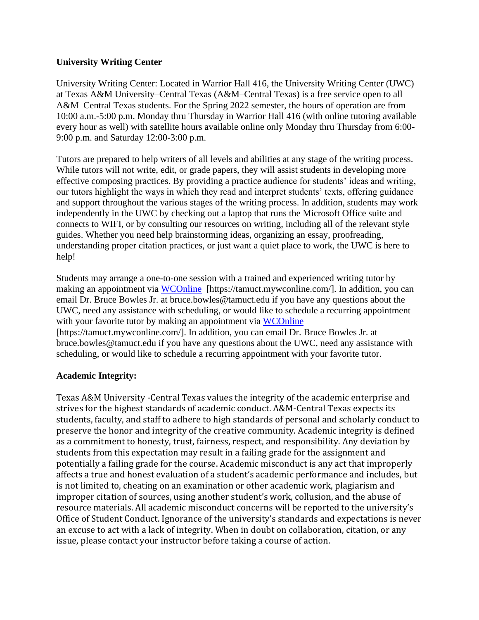#### **University Writing Center**

University Writing Center: Located in Warrior Hall 416, the University Writing Center (UWC) at Texas A&M University–Central Texas (A&M–Central Texas) is a free service open to all A&M–Central Texas students. For the Spring 2022 semester, the hours of operation are from 10:00 a.m.-5:00 p.m. Monday thru Thursday in Warrior Hall 416 (with online tutoring available every hour as well) with satellite hours available online only Monday thru Thursday from 6:00- 9:00 p.m. and Saturday 12:00-3:00 p.m.

Tutors are prepared to help writers of all levels and abilities at any stage of the writing process. While tutors will not write, edit, or grade papers, they will assist students in developing more effective composing practices. By providing a practice audience for students' ideas and writing, our tutors highlight the ways in which they read and interpret students' texts, offering guidance and support throughout the various stages of the writing process. In addition, students may work independently in the UWC by checking out a laptop that runs the Microsoft Office suite and connects to WIFI, or by consulting our resources on writing, including all of the relevant style guides. Whether you need help brainstorming ideas, organizing an essay, proofreading, understanding proper citation practices, or just want a quiet place to work, the UWC is here to help!

Students may arrange a one-to-one session with a trained and experienced writing tutor by making an appointment via [WCOnline](https://tamuct.mywconline.com/) [https://tamuct.mywconline.com/]. In addition, you can email Dr. Bruce Bowles Jr. at bruce.bowles@tamuct.edu if you have any questions about the UWC, need any assistance with scheduling, or would like to schedule a recurring appointment with your favorite tutor by making an appointment via [WCOnline](https://tamuct.mywconline.com/) [https://tamuct.mywconline.com/]. In addition, you can email Dr. Bruce Bowles Jr. at bruce.bowles@tamuct.edu if you have any questions about the UWC, need any assistance with

# scheduling, or would like to schedule a recurring appointment with your favorite tutor.

#### **Academic Integrity:**

Texas A&M University -Central Texas values the integrity of the academic enterprise and strives for the highest standards of academic conduct. A&M-Central Texas expects its students, faculty, and staff to adhere to high standards of personal and scholarly conduct to preserve the honor and integrity of the creative community. Academic integrity is defined as a commitment to honesty, trust, fairness, respect, and responsibility. Any deviation by students from this expectation may result in a failing grade for the assignment and potentially a failing grade for the course. Academic misconduct is any act that improperly affects a true and honest evaluation of a student's academic performance and includes, but is not limited to, cheating on an examination or other academic work, plagiarism and improper citation of sources, using another student's work, collusion, and the abuse of resource materials. All academic misconduct concerns will be reported to the university's Office of Student Conduct. Ignorance of the university's standards and expectations is never an excuse to act with a lack of integrity. When in doubt on collaboration, citation, or any issue, please contact your instructor before taking a course of action.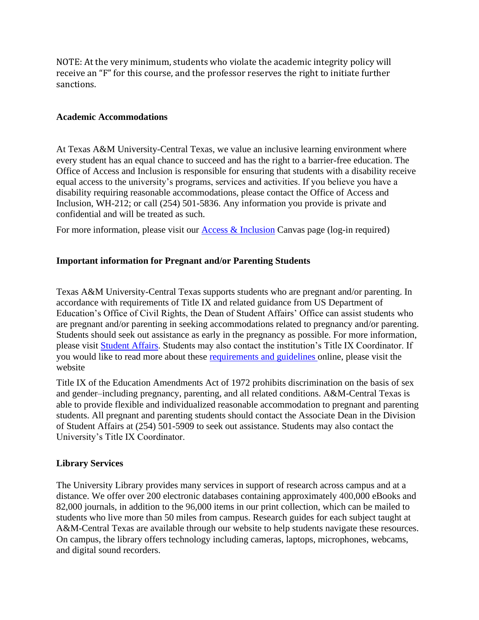NOTE: At the very minimum, students who violate the academic integrity policy will receive an "F" for this course, and the professor reserves the right to initiate further sanctions.

#### **Academic Accommodations**

At Texas A&M University-Central Texas, we value an inclusive learning environment where every student has an equal chance to succeed and has the right to a barrier-free education. The Office of Access and Inclusion is responsible for ensuring that students with a disability receive equal access to the university's programs, services and activities. If you believe you have a disability requiring reasonable accommodations, please contact the Office of Access and Inclusion, WH-212; or call (254) 501-5836. Any information you provide is private and confidential and will be treated as such.

For more information, please visit our  $\Delta$ ccess  $\&$  Inclusion Canvas page (log-in required)

#### **Important information for Pregnant and/or Parenting Students**

Texas A&M University-Central Texas supports students who are pregnant and/or parenting. In accordance with requirements of Title IX and related guidance from US Department of Education's Office of Civil Rights, the Dean of Student Affairs' Office can assist students who are pregnant and/or parenting in seeking accommodations related to pregnancy and/or parenting. Students should seek out assistance as early in the pregnancy as possible. For more information, please visit [Student Affairs.](https://www.tamuct.edu/student-affairs/pregnant-and-parenting-students.html) Students may also contact the institution's Title IX Coordinator. If you would like to read more about these [requirements and guidelines](http://www2.ed.gov/about/offices/list/ocr/docs/pregnancy.pdf) online, please visit the website

Title IX of the Education Amendments Act of 1972 prohibits discrimination on the basis of sex and gender–including pregnancy, parenting, and all related conditions. A&M-Central Texas is able to provide flexible and individualized reasonable accommodation to pregnant and parenting students. All pregnant and parenting students should contact the Associate Dean in the Division of Student Affairs at (254) 501-5909 to seek out assistance. Students may also contact the University's Title IX Coordinator.

#### **Library Services**

The University Library provides many services in support of research across campus and at a distance. We offer over 200 electronic databases containing approximately 400,000 eBooks and 82,000 journals, in addition to the 96,000 items in our print collection, which can be mailed to students who live more than 50 miles from campus. Research guides for each subject taught at A&M-Central Texas are available through our website to help students navigate these resources. On campus, the library offers technology including cameras, laptops, microphones, webcams, and digital sound recorders.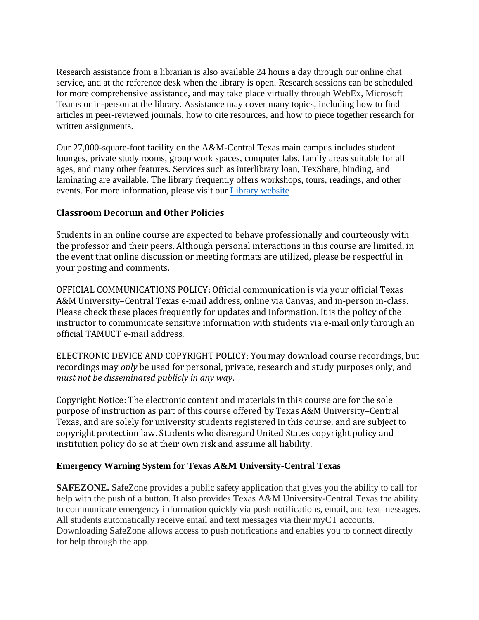Research assistance from a librarian is also available 24 hours a day through our online chat service, and at the reference desk when the library is open. Research sessions can be scheduled for more comprehensive assistance, and may take place virtually through WebEx, Microsoft Teams or in-person at the library. Assistance may cover many topics, including how to find articles in peer-reviewed journals, how to cite resources, and how to piece together research for written assignments.

Our 27,000-square-foot facility on the A&M-Central Texas main campus includes student lounges, private study rooms, group work spaces, computer labs, family areas suitable for all ages, and many other features. Services such as interlibrary loan, TexShare, binding, and laminating are available. The library frequently offers workshops, tours, readings, and other events. For more information, please visit our Library [website](https://nam04.safelinks.protection.outlook.com/?url=https%3A%2F%2Ftamuct.libguides.com%2Findex&data=04%7C01%7Clisa.bunkowski%40tamuct.edu%7C7d8489e8839a4915335f08d916f067f2%7C9eed4e3000f744849ff193ad8005acec%7C0%7C0%7C637566044056484222%7CUnknown%7CTWFpbGZsb3d8eyJWIjoiMC4wLjAwMDAiLCJQIjoiV2luMzIiLCJBTiI6Ik1haWwiLCJXVCI6Mn0%3D%7C1000&sdata=2R755V6rcIyedGrd4Os5rkgn1PvhHKU3kUV1vBKiHFo%3D&reserved=0)

### **Classroom Decorum and Other Policies**

Students in an online course are expected to behave professionally and courteously with the professor and their peers. Although personal interactions in this course are limited, in the event that online discussion or meeting formats are utilized, please be respectful in your posting and comments.

OFFICIAL COMMUNICATIONS POLICY: Official communication is via your official Texas A&M University–Central Texas e-mail address, online via Canvas, and in-person in-class. Please check these places frequently for updates and information. It is the policy of the instructor to communicate sensitive information with students via e-mail only through an official TAMUCT e-mail address.

ELECTRONIC DEVICE AND COPYRIGHT POLICY: You may download course recordings, but recordings may *only* be used for personal, private, research and study purposes only, and *must not be disseminated publicly in any way*.

Copyright Notice: The electronic content and materials in this course are for the sole purpose of instruction as part of this course offered by Texas A&M University–Central Texas, and are solely for university students registered in this course, and are subject to copyright protection law. Students who disregard United States copyright policy and institution policy do so at their own risk and assume all liability.

#### **Emergency Warning System for Texas A&M University-Central Texas**

**SAFEZONE.** SafeZone provides a public safety application that gives you the ability to call for help with the push of a button. It also provides Texas A&M University-Central Texas the ability to communicate emergency information quickly via push notifications, email, and text messages. All students automatically receive email and text messages via their myCT accounts. Downloading SafeZone allows access to push notifications and enables you to connect directly for help through the app.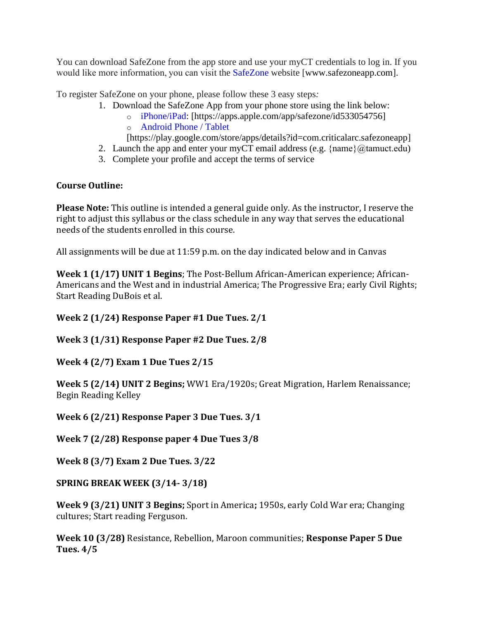You can download SafeZone from the app store and use your myCT credentials to log in. If you would like more information, you can visit the [SafeZone](http://www.safezoneapp.com/) website [www.safezoneapp.com].

To register SafeZone on your phone, please follow these 3 easy steps*:*

- 1. Download the SafeZone App from your phone store using the link below:
	- o [iPhone/iPad:](https://apps.apple.com/app/safezone/id533054756) [https://apps.apple.com/app/safezone/id533054756] o [Android Phone / Tablet](https://play.google.com/store/apps/details?id=com.criticalarc.safezoneapp)

[https://play.google.com/store/apps/details?id=com.criticalarc.safezoneapp]

- 2. Launch the app and enter your myCT email address (e.g.  $\{\text{name}\}\langle\omega\rangle$  tamuct.edu)
- 3. Complete your profile and accept the terms of service

# **Course Outline:**

**Please Note:** This outline is intended a general guide only. As the instructor, I reserve the right to adjust this syllabus or the class schedule in any way that serves the educational needs of the students enrolled in this course.

All assignments will be due at 11:59 p.m. on the day indicated below and in Canvas

**Week 1 (1/17) UNIT 1 Begins**; The Post-Bellum African-American experience; African-Americans and the West and in industrial America; The Progressive Era; early Civil Rights; Start Reading DuBois et al.

**Week 2 (1/24) Response Paper #1 Due Tues. 2/1**

**Week 3 (1/31) Response Paper #2 Due Tues. 2/8**

**Week 4 (2/7) Exam 1 Due Tues 2/15**

**Week 5 (2/14) UNIT 2 Begins;** WW1 Era/1920s; Great Migration, Harlem Renaissance; Begin Reading Kelley

**Week 6 (2/21) Response Paper 3 Due Tues. 3/1**

**Week 7 (2/28) Response paper 4 Due Tues 3/8**

**Week 8 (3/7) Exam 2 Due Tues. 3/22**

**SPRING BREAK WEEK (3/14- 3/18)**

**Week 9 (3/21) UNIT 3 Begins;** Sport in America**;** 1950s, early Cold War era; Changing cultures; Start reading Ferguson.

**Week 10 (3/28)** Resistance, Rebellion, Maroon communities; **Response Paper 5 Due Tues. 4/5**